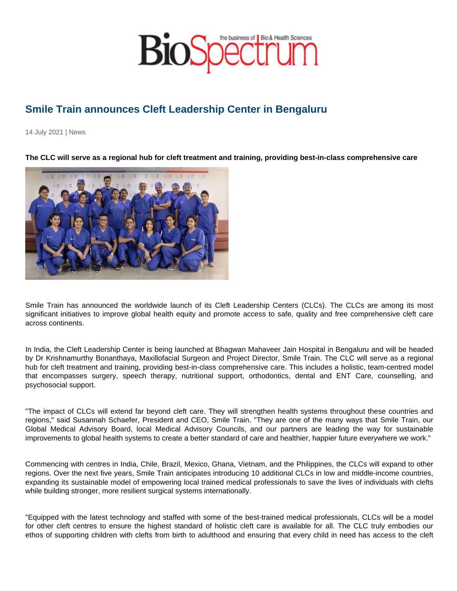## Smile Train announces Cleft Leadership Center in Bengaluru

14 July 2021 | News

The CLC will serve as a regional hub for cleft treatment and training, providing best-in-class comprehensive care

Smile Train has announced the worldwide launch of its Cleft Leadership Centers (CLCs). The CLCs are among its most significant initiatives to improve global health equity and promote access to safe, quality and free comprehensive cleft care across continents.

In India, the Cleft Leadership Center is being launched at Bhagwan Mahaveer Jain Hospital in Bengaluru and will be headed by Dr Krishnamurthy Bonanthaya, Maxillofacial Surgeon and Project Director, Smile Train. The CLC will serve as a regional hub for cleft treatment and training, providing best-in-class comprehensive care. This includes a holistic, team-centred model that encompasses surgery, speech therapy, nutritional support, orthodontics, dental and ENT Care, counselling, and psychosocial support.

"The impact of CLCs will extend far beyond cleft care. They will strengthen health systems throughout these countries and regions," said Susannah Schaefer, President and CEO, Smile Train. "They are one of the many ways that Smile Train, our Global Medical Advisory Board, local Medical Advisory Councils, and our partners are leading the way for sustainable improvements to global health systems to create a better standard of care and healthier, happier future everywhere we work."

Commencing with centres in India, Chile, Brazil, Mexico, Ghana, Vietnam, and the Philippines, the CLCs will expand to other regions. Over the next five years, Smile Train anticipates introducing 10 additional CLCs in low and middle-income countries, expanding its sustainable model of empowering local trained medical professionals to save the lives of individuals with clefts while building stronger, more resilient surgical systems internationally.

"Equipped with the latest technology and staffed with some of the best-trained medical professionals, CLCs will be a model for other cleft centres to ensure the highest standard of holistic cleft care is available for all. The CLC truly embodies our ethos of supporting children with clefts from birth to adulthood and ensuring that every child in need has access to the cleft